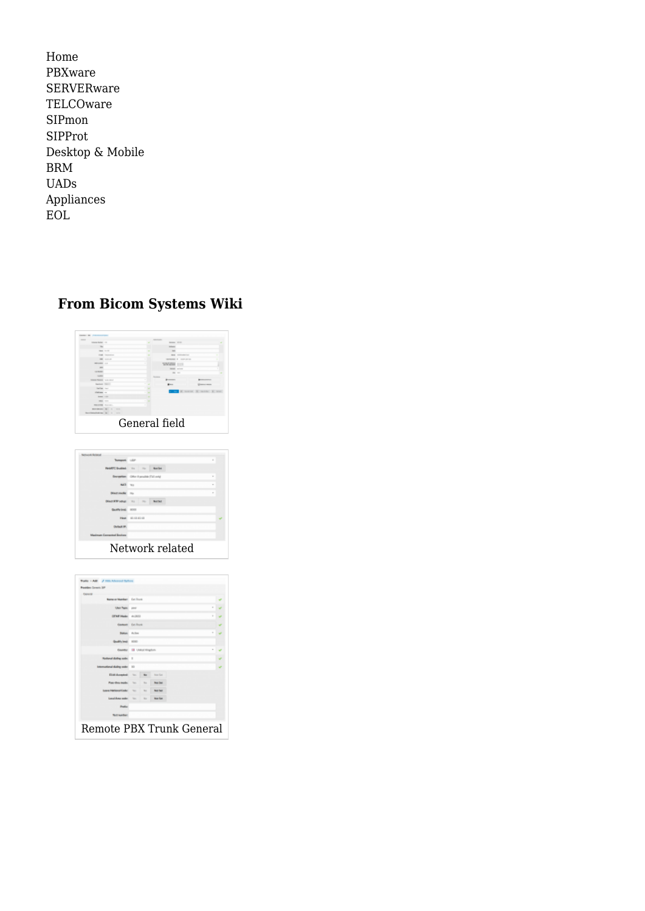[Home](http://wiki.bicomsystems.com/Main_Page) [PBXware](http://wiki.bicomsystems.com/PBXware) **[SERVERware](http://wiki.bicomsystems.com/SERVERware) [TELCOware](http://wiki.bicomsystems.com/TELCOware)** [SIPmon](http://wiki.bicomsystems.com/SIPmon) [SIPProt](http://wiki.bicomsystems.com/SIPProt) [Desktop & Mobile](http://wiki.bicomsystems.com/Desktop_and_Mobile) [BRM](http://wiki.bicomsystems.com/BRM) [UADs](http://wiki.bicomsystems.com/UADs) [Appliances](http://wiki.bicomsystems.com/Appliances) [EOL](http://wiki.bicomsystems.com/EOL)

# **From Bicom Systems Wiki**





| Concile                         |                                   |            |                   |  |  |  |
|---------------------------------|-----------------------------------|------------|-------------------|--|--|--|
| Name or Nightham Earl English   |                                   |            |                   |  |  |  |
| User Telec poor                 |                                   |            |                   |  |  |  |
| OTHERMAN 4-2832                 | ×                                 |            |                   |  |  |  |
|                                 | George Friday                     |            |                   |  |  |  |
|                                 | Station: Action                   |            |                   |  |  |  |
| sulli's lead: 1000              |                                   |            |                   |  |  |  |
|                                 | <b>Gentle: III United Kingdom</b> |            |                   |  |  |  |
| <b>Harry's Mading scale:</b> 11 |                                   |            |                   |  |  |  |
| lanal dialing sode: 10          |                                   |            |                   |  |  |  |
| ELAN Accounted                  | <b>Change</b>                     | No.        | <b>Kore Kore</b>  |  |  |  |
| For the note:                   | <b>Sec</b>                        | bit a      | <b>Bend Deal</b>  |  |  |  |
| <b>Lease NetfernalState:</b>    | $\sim$                            | No.        | <b>Sell full</b>  |  |  |  |
| Langifican sales in the         |                                   | <b>No.</b> | <b>House Kore</b> |  |  |  |
| Peaker                          |                                   |            |                   |  |  |  |
| <b>Not leather</b>              |                                   |            |                   |  |  |  |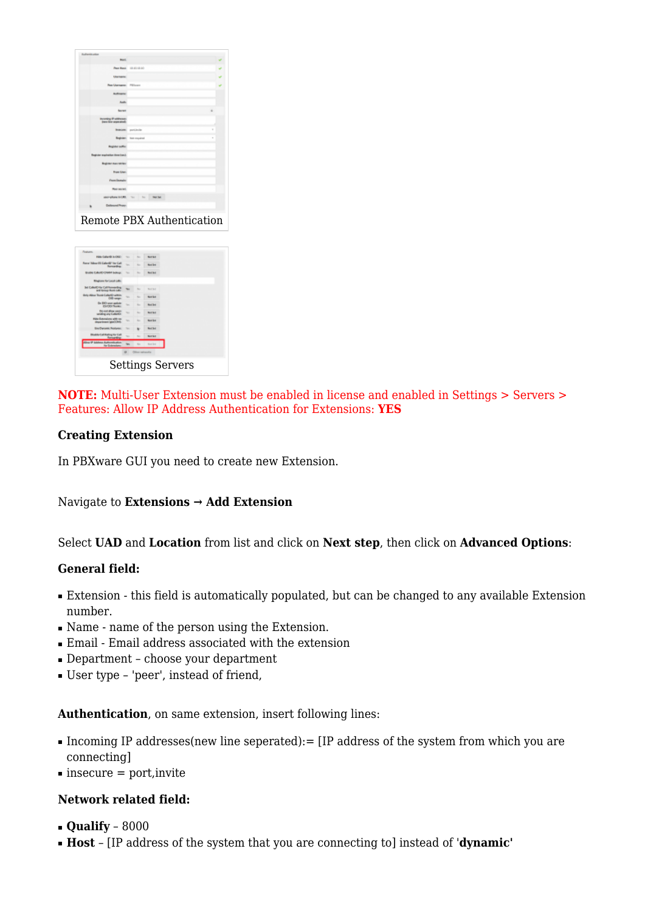| <b>Rushamid union</b>                              |                                 |  |
|----------------------------------------------------|---------------------------------|--|
| <b>Based</b>                                       |                                 |  |
|                                                    | Pear Hond: 10, 2010, 201        |  |
| Listenson                                          |                                 |  |
| Fee Uprogress Fillman                              |                                 |  |
| <b>Authority</b>                                   |                                 |  |
| <b>Rook</b>                                        |                                 |  |
| <b>Source</b>                                      | ٠                               |  |
| <b>Incoming IP addresses</b><br>ises for associate |                                 |  |
| <b>Broadcaster</b>                                 | ×<br>port.inclin                |  |
|                                                    | ٠<br>Register: has musical      |  |
| <b>Beginner suffice</b>                            |                                 |  |
| Enginiar anglestics time (car.):                   |                                 |  |
| <b>Bagistan mass service</b>                       |                                 |  |
| <b>Engel Liberty</b>                               |                                 |  |
| <b>Promotionale</b>                                |                                 |  |
| Roo society                                        |                                 |  |
| phone 6-1.93.                                      | Tel: Tel: 11<br><b>Died Dat</b> |  |
| Dollarsung! Researc                                |                                 |  |
|                                                    | Remote PBX Authentication       |  |

|                                                                     |          |                        | <b>Settings Servers</b> |  |
|---------------------------------------------------------------------|----------|------------------------|-------------------------|--|
|                                                                     | $\alpha$ | <b>Cilina saturata</b> |                         |  |
| <b>Any IP Schlose Aut</b><br><b>History</b><br><b>Ity Colembars</b> |          | ٠                      | <b>Kent Best</b>        |  |
| <b>Black Call Autor De Call</b><br><b><i><u>America</u></i></b>     | s.       | to:                    | <b>Northern</b>         |  |
| <b>Ene Demand: Replaces</b>                                         |          |                        | <b>Real Bod</b>         |  |
| Hide Extensions with no<br>direct import (pinCCA-5)                 | w.       | <b>SIL</b>             | Now fee                 |  |
| Do cod allow sacro<br>natus any fusionist                           | ÷        | to.                    | <b>Send Bell</b>        |  |
| De DiO uno golole<br><b>ENTRY Tores</b>                             | ÷        | s.                     | <b>Not bet</b>          |  |
| the Albert Trunk Callertin within<br>DIG sman                       | w.       | No.                    | Not fer                 |  |
| <b>Jel CollectO for Call Remembry</b>                               |          | m                      | <b>Sout Sell</b>        |  |
| <b>Ringhams for Local Lake</b>                                      |          |                        |                         |  |
| <b>Brader Collectivity and Indiana</b>                              | ÷        | m                      | <b>Boot Boot</b>        |  |
| Rene Video (R) Caller@ Yer Call<br><b>Romanskins</b>                |          | m.                     | Now lost                |  |
| Hide Calleria Inchile:                                              | $\sim$   | No.                    | <b>Northern</b>         |  |
| <b>Foundation</b>                                                   |          |                        |                         |  |

**NOTE:** Multi-User Extension must be enabled in license and enabled in Settings > Servers > Features: Allow IP Address Authentication for Extensions: **YES**

### **Creating Extension**

In PBXware GUI you need to create new Extension.

### Navigate to **Extensions → Add Extension**

### Select **UAD** and **Location** from list and click on **Next step**, then click on **Advanced Options**:

### **General field:**

- Extension this field is automatically populated, but can be changed to any available Extension number.
- Name name of the person using the Extension.
- Email Email address associated with the extension
- Department choose your department
- User type 'peer', instead of friend,

### **Authentication**, on same extension, insert following lines:

- Incoming IP addresses(new line seperated):= [IP address of the system from which you are connecting]
- $\blacksquare$  insecure = port, invite

### **Network related field:**

- **Qualify** 8000
- **Host** [IP address of the system that you are connecting to] instead of '**dynamic'**